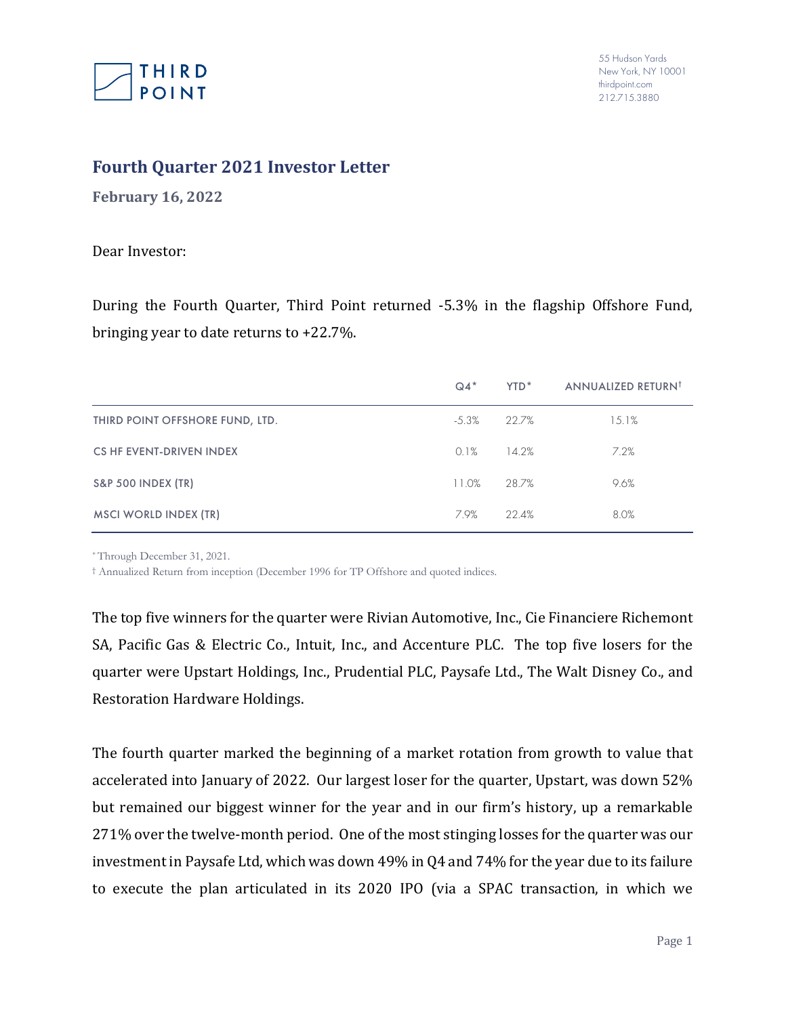

## **Fourth Quarter 2021 Investor Letter**

**February 16, 2022**

Dear Investor:

During the Fourth Quarter, Third Point returned -5.3% in the flagship Offshore Fund, bringing year to date returns to +22.7%.

|                                 | $Q4*$   | YTD <sup>*</sup> | ANNUALIZED RETURN <sup>†</sup> |
|---------------------------------|---------|------------------|--------------------------------|
| THIRD POINT OFFSHORE FUND, LTD. | $-5.3%$ | 22.7%            | 15.1%                          |
| <b>CS HF EVENT-DRIVEN INDEX</b> | 0.1%    | 14.2%            | 7.2%                           |
| <b>S&amp;P 500 INDEX (TR)</b>   | 11.0%   | 28.7%            | 9.6%                           |
| <b>MSCI WORLD INDEX (TR)</b>    | 7.9%    | 22.4%            | 8.0%                           |

\* Through December 31, 2021.

† Annualized Return from inception (December 1996 for TP Offshore and quoted indices.

The top five winners for the quarter were Rivian Automotive, Inc., Cie Financiere Richemont SA, Pacific Gas & Electric Co., Intuit, Inc., and Accenture PLC. The top five losers for the quarter were Upstart Holdings, Inc., Prudential PLC, Paysafe Ltd., The Walt Disney Co., and Restoration Hardware Holdings.

The fourth quarter marked the beginning of a market rotation from growth to value that accelerated into January of 2022. Our largest loser for the quarter, Upstart, was down 52% but remained our biggest winner for the year and in our firm's history, up a remarkable 271% over the twelve-month period. One of the most stinging losses for the quarter was our investment in Paysafe Ltd, which was down 49% in Q4 and 74% for the year due to its failure to execute the plan articulated in its 2020 IPO (via a SPAC transaction, in which we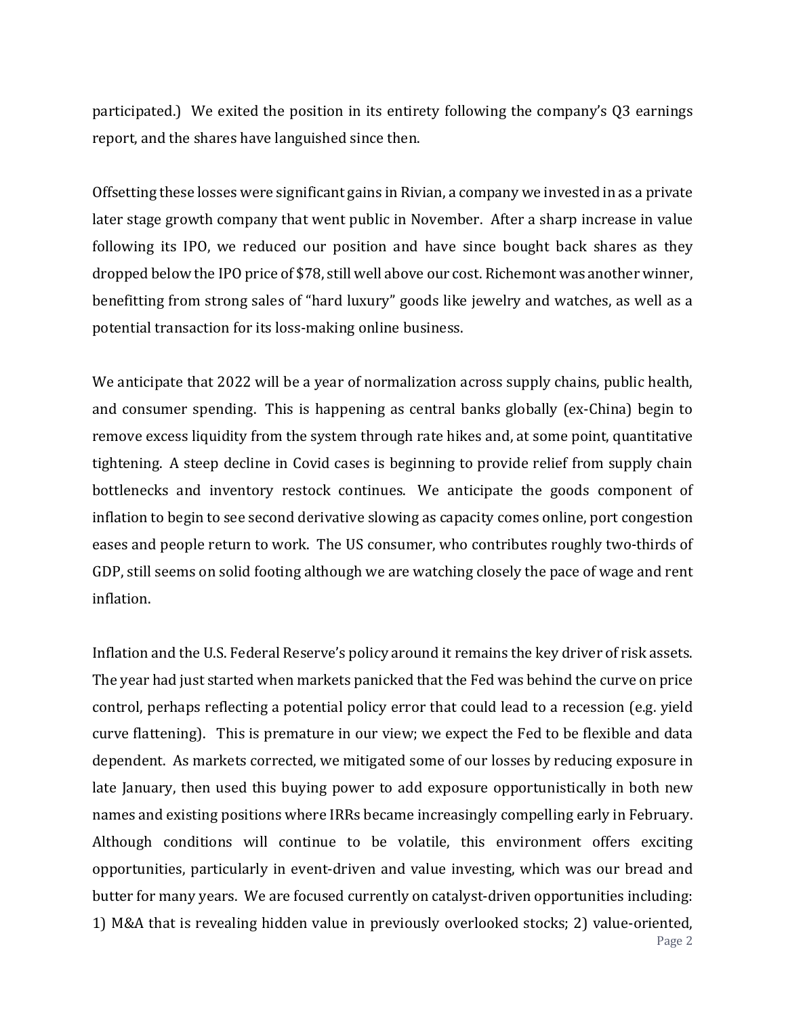participated.) We exited the position in its entirety following the company's Q3 earnings report, and the shares have languished since then.

Offsetting these losses were significant gains in Rivian, a company we invested in as a private later stage growth company that went public in November. After a sharp increase in value following its IPO, we reduced our position and have since bought back shares as they dropped below the IPO price of \$78, still well above our cost. Richemont was another winner, benefitting from strong sales of "hard luxury" goods like jewelry and watches, as well as a potential transaction for its loss-making online business.

We anticipate that 2022 will be a year of normalization across supply chains, public health, and consumer spending. This is happening as central banks globally (ex-China) begin to remove excess liquidity from the system through rate hikes and, at some point, quantitative tightening. A steep decline in Covid cases is beginning to provide relief from supply chain bottlenecks and inventory restock continues. We anticipate the goods component of inflation to begin to see second derivative slowing as capacity comes online, port congestion eases and people return to work. The US consumer, who contributes roughly two-thirds of GDP, still seems on solid footing although we are watching closely the pace of wage and rent inflation.

Inflation and the U.S. Federal Reserve's policy around it remains the key driver of risk assets. The year had just started when markets panicked that the Fed was behind the curve on price control, perhaps reflecting a potential policy error that could lead to a recession (e.g. yield curve flattening). This is premature in our view; we expect the Fed to be flexible and data dependent. As markets corrected, we mitigated some of our losses by reducing exposure in late January, then used this buying power to add exposure opportunistically in both new names and existing positions where IRRs became increasingly compelling early in February. Although conditions will continue to be volatile, this environment offers exciting opportunities, particularly in event-driven and value investing, which was our bread and butter for many years. We are focused currently on catalyst-driven opportunities including: 1) M&A that is revealing hidden value in previously overlooked stocks; 2) value-oriented,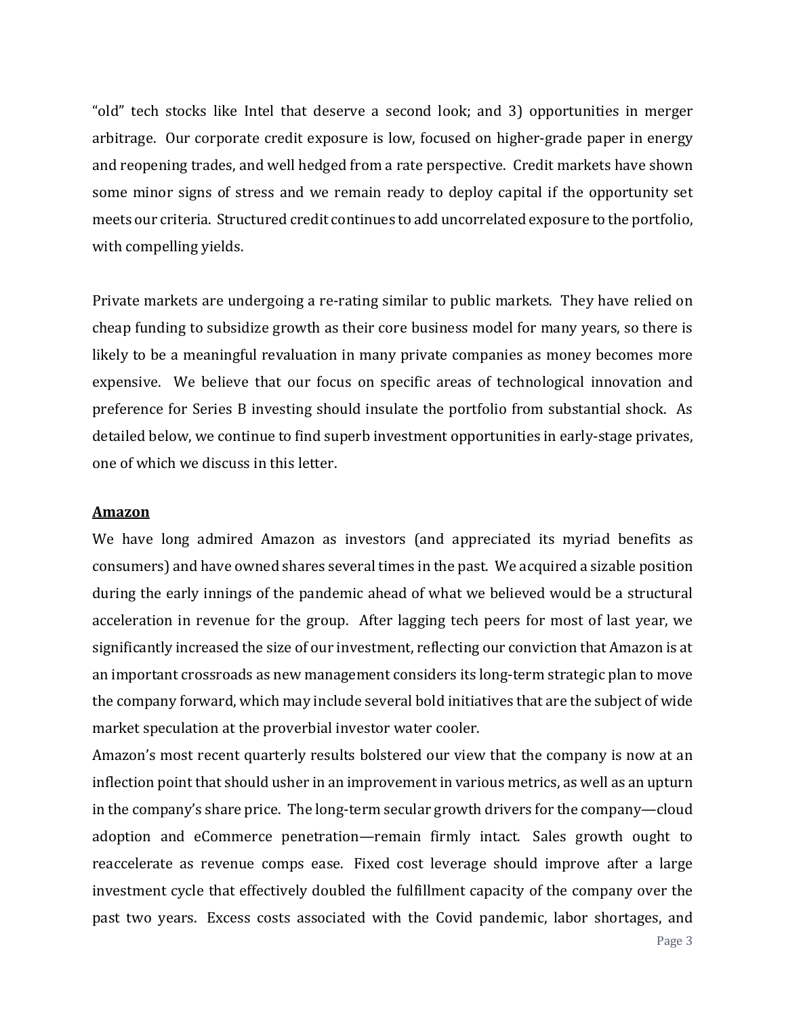"old" tech stocks like Intel that deserve a second look; and 3) opportunities in merger arbitrage. Our corporate credit exposure is low, focused on higher-grade paper in energy and reopening trades, and well hedged from a rate perspective. Credit markets have shown some minor signs of stress and we remain ready to deploy capital if the opportunity set meets our criteria. Structured credit continues to add uncorrelated exposure to the portfolio, with compelling yields.

Private markets are undergoing a re-rating similar to public markets. They have relied on cheap funding to subsidize growth as their core business model for many years, so there is likely to be a meaningful revaluation in many private companies as money becomes more expensive. We believe that our focus on specific areas of technological innovation and preference for Series B investing should insulate the portfolio from substantial shock. As detailed below, we continue to find superb investment opportunities in early-stage privates, one of which we discuss in this letter.

#### **Amazon**

We have long admired Amazon as investors (and appreciated its myriad benefits as consumers) and have owned shares several times in the past. We acquired a sizable position during the early innings of the pandemic ahead of what we believed would be a structural acceleration in revenue for the group. After lagging tech peers for most of last year, we significantly increased the size of our investment, reflecting our conviction that Amazon is at an important crossroads as new management considers its long-term strategic plan to move the company forward, which may include several bold initiatives that are the subject of wide market speculation at the proverbial investor water cooler.

Amazon's most recent quarterly results bolstered our view that the company is now at an inflection point that should usher in an improvement in various metrics, as well as an upturn in the company's share price. The long-term secular growth drivers for the company—cloud adoption and eCommerce penetration—remain firmly intact. Sales growth ought to reaccelerate as revenue comps ease. Fixed cost leverage should improve after a large investment cycle that effectively doubled the fulfillment capacity of the company over the past two years. Excess costs associated with the Covid pandemic, labor shortages, and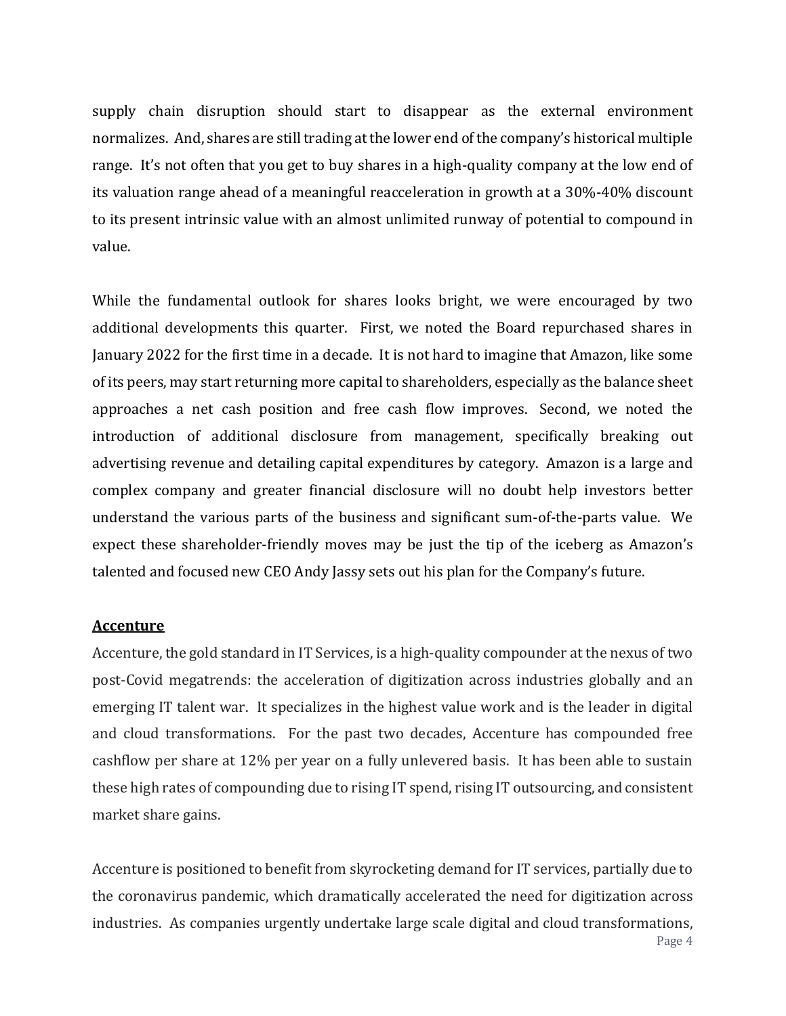supply chain disruption should start to disappear as the external environment normalizes. And, shares are still trading at the lower end of the company's historical multiple range. It's not often that you get to buy shares in a high-quality company at the low end of its valuation range ahead of a meaningful reacceleration in growth at a 30%-40% discount to its present intrinsic value with an almost unlimited runway of potential to compound in value.

While the fundamental outlook for shares looks bright, we were encouraged by two additional developments this quarter. First, we noted the Board repurchased shares in January 2022 for the first time in a decade. It is not hard to imagine that Amazon, like some of its peers, may start returning more capital to shareholders, especially as the balance sheet approaches a net cash position and free cash flow improves. Second, we noted the introduction of additional disclosure from management, specifically breaking out advertising revenue and detailing capital expenditures by category. Amazon is a large and complex company and greater financial disclosure will no doubt help investors better understand the various parts of the business and significant sum-of-the-parts value. We expect these shareholder-friendly moves may be just the tip of the iceberg as Amazon's talented and focused new CEO Andy Jassy sets out his plan for the Company's future.

### **Accenture**

Accenture, the gold standard in IT Services, is a high-quality compounder at the nexus of two post-Covid megatrends: the acceleration of digitization across industries globally and an emerging IT talent war. It specializes in the highest value work and is the leader in digital and cloud transformations. For the past two decades, Accenture has compounded free cashflow per share at 12% per year on a fully unlevered basis. It has been able to sustain these high rates of compounding due to rising IT spend, rising IT outsourcing, and consistent market share gains.

Page 4 Accenture is positioned to benefit from skyrocketing demand for IT services, partially due to the coronavirus pandemic, which dramatically accelerated the need for digitization across industries. As companies urgently undertake large scale digital and cloud transformations,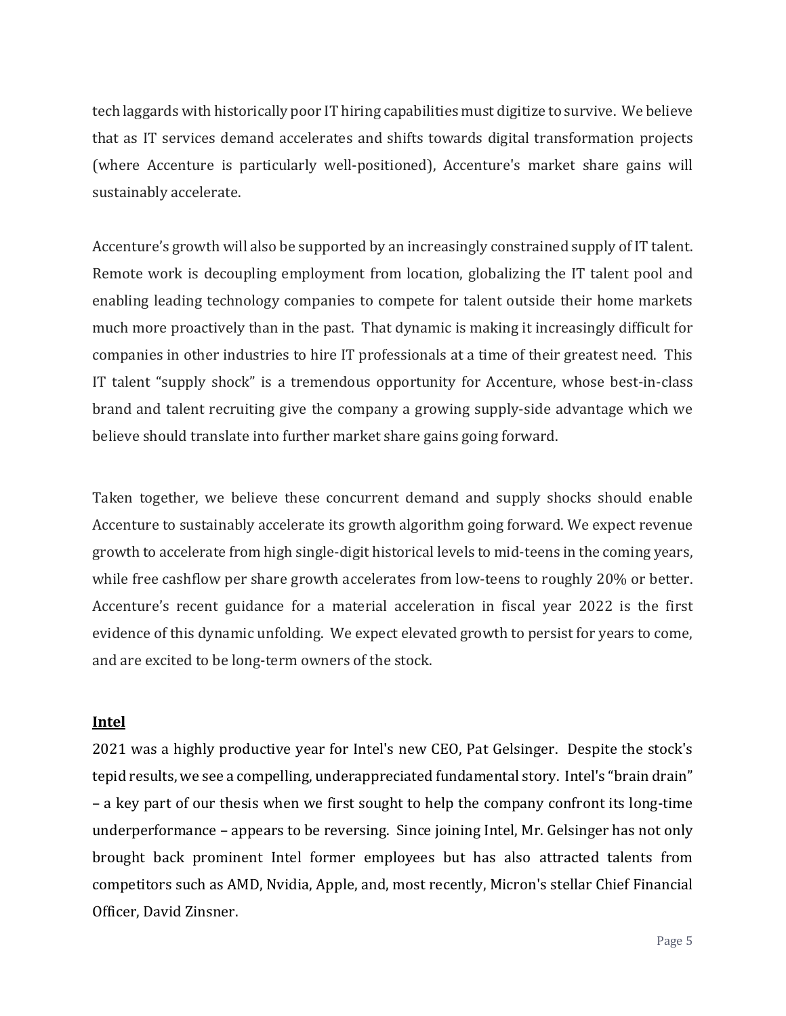tech laggards with historically poor IT hiring capabilities must digitize to survive. We believe that as IT services demand accelerates and shifts towards digital transformation projects (where Accenture is particularly well-positioned), Accenture's market share gains will sustainably accelerate.

Accenture's growth will also be supported by an increasingly constrained supply of IT talent. Remote work is decoupling employment from location, globalizing the IT talent pool and enabling leading technology companies to compete for talent outside their home markets much more proactively than in the past. That dynamic is making it increasingly difficult for companies in other industries to hire IT professionals at a time of their greatest need. This IT talent "supply shock" is a tremendous opportunity for Accenture, whose best-in-class brand and talent recruiting give the company a growing supply-side advantage which we believe should translate into further market share gains going forward.

Taken together, we believe these concurrent demand and supply shocks should enable Accenture to sustainably accelerate its growth algorithm going forward. We expect revenue growth to accelerate from high single-digit historical levels to mid-teens in the coming years, while free cashflow per share growth accelerates from low-teens to roughly 20% or better. Accenture's recent guidance for a material acceleration in fiscal year 2022 is the first evidence of this dynamic unfolding. We expect elevated growth to persist for years to come, and are excited to be long-term owners of the stock.

### **Intel**

2021 was a highly productive year for Intel's new CEO, Pat Gelsinger. Despite the stock's tepid results, we see a compelling, underappreciated fundamental story. Intel's "brain drain" – a key part of our thesis when we first sought to help the company confront its long-time underperformance – appears to be reversing. Since joining Intel, Mr. Gelsinger has not only brought back prominent Intel former employees but has also attracted talents from competitors such as AMD, Nvidia, Apple, and, most recently, Micron's stellar Chief Financial Officer, David Zinsner.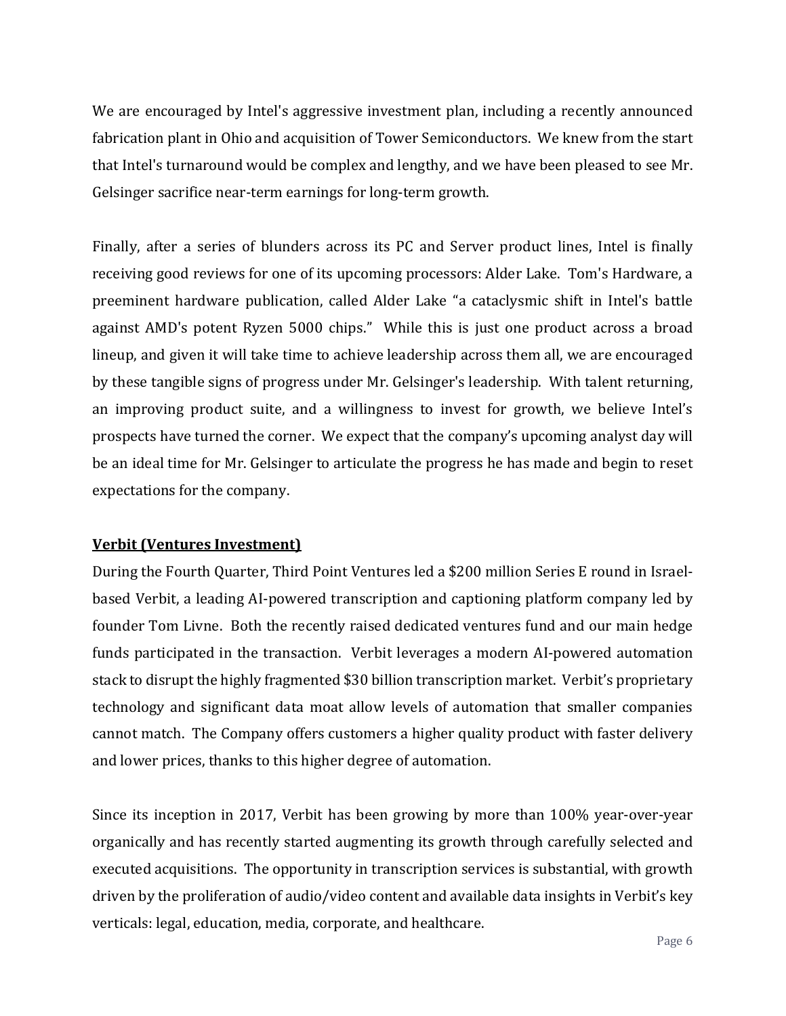We are encouraged by Intel's aggressive investment plan, including a recently announced fabrication plant in Ohio and acquisition of Tower Semiconductors. We knew from the start that Intel's turnaround would be complex and lengthy, and we have been pleased to see Mr. Gelsinger sacrifice near-term earnings for long-term growth.

Finally, after a series of blunders across its PC and Server product lines, Intel is finally receiving good reviews for one of its upcoming processors: Alder Lake. Tom's Hardware, a preeminent hardware publication, called Alder Lake "a cataclysmic shift in Intel's battle against AMD's potent Ryzen 5000 chips." While this is just one product across a broad lineup, and given it will take time to achieve leadership across them all, we are encouraged by these tangible signs of progress under Mr. Gelsinger's leadership. With talent returning, an improving product suite, and a willingness to invest for growth, we believe Intel's prospects have turned the corner. We expect that the company's upcoming analyst day will be an ideal time for Mr. Gelsinger to articulate the progress he has made and begin to reset expectations for the company.

### **Verbit (Ventures Investment)**

During the Fourth Quarter, Third Point Ventures led a \$200 million Series E round in Israelbased Verbit, a leading AI-powered transcription and captioning platform company led by founder Tom Livne. Both the recently raised dedicated ventures fund and our main hedge funds participated in the transaction. Verbit leverages a modern AI-powered automation stack to disrupt the highly fragmented \$30 billion transcription market. Verbit's proprietary technology and significant data moat allow levels of automation that smaller companies cannot match. The Company offers customers a higher quality product with faster delivery and lower prices, thanks to this higher degree of automation.

Since its inception in 2017, Verbit has been growing by more than 100% year-over-year organically and has recently started augmenting its growth through carefully selected and executed acquisitions. The opportunity in transcription services is substantial, with growth driven by the proliferation of audio/video content and available data insights in Verbit's key verticals: legal, education, media, corporate, and healthcare.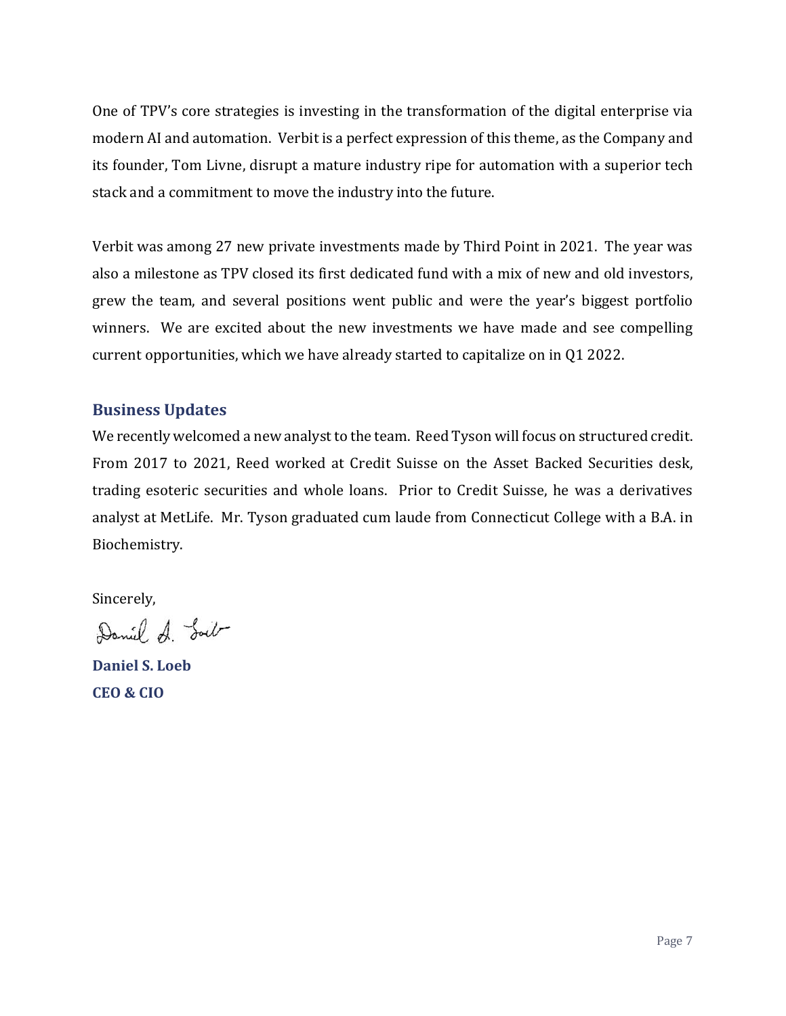One of TPV's core strategies is investing in the transformation of the digital enterprise via modern AI and automation. Verbit is a perfect expression of this theme, as the Company and its founder, Tom Livne, disrupt a mature industry ripe for automation with a superior tech stack and a commitment to move the industry into the future.

Verbit was among 27 new private investments made by Third Point in 2021. The year was also a milestone as TPV closed its first dedicated fund with a mix of new and old investors, grew the team, and several positions went public and were the year's biggest portfolio winners. We are excited about the new investments we have made and see compelling current opportunities, which we have already started to capitalize on in Q1 2022.

# **Business Updates**

We recently welcomed a new analyst to the team. Reed Tyson will focus on structured credit. From 2017 to 2021, Reed worked at Credit Suisse on the Asset Backed Securities desk, trading esoteric securities and whole loans. Prior to Credit Suisse, he was a derivatives analyst at MetLife. Mr. Tyson graduated cum laude from Connecticut College with a B.A. in Biochemistry.

Sincerely,

Daniel A. Soil

**Daniel S. Loeb CEO & CIO**